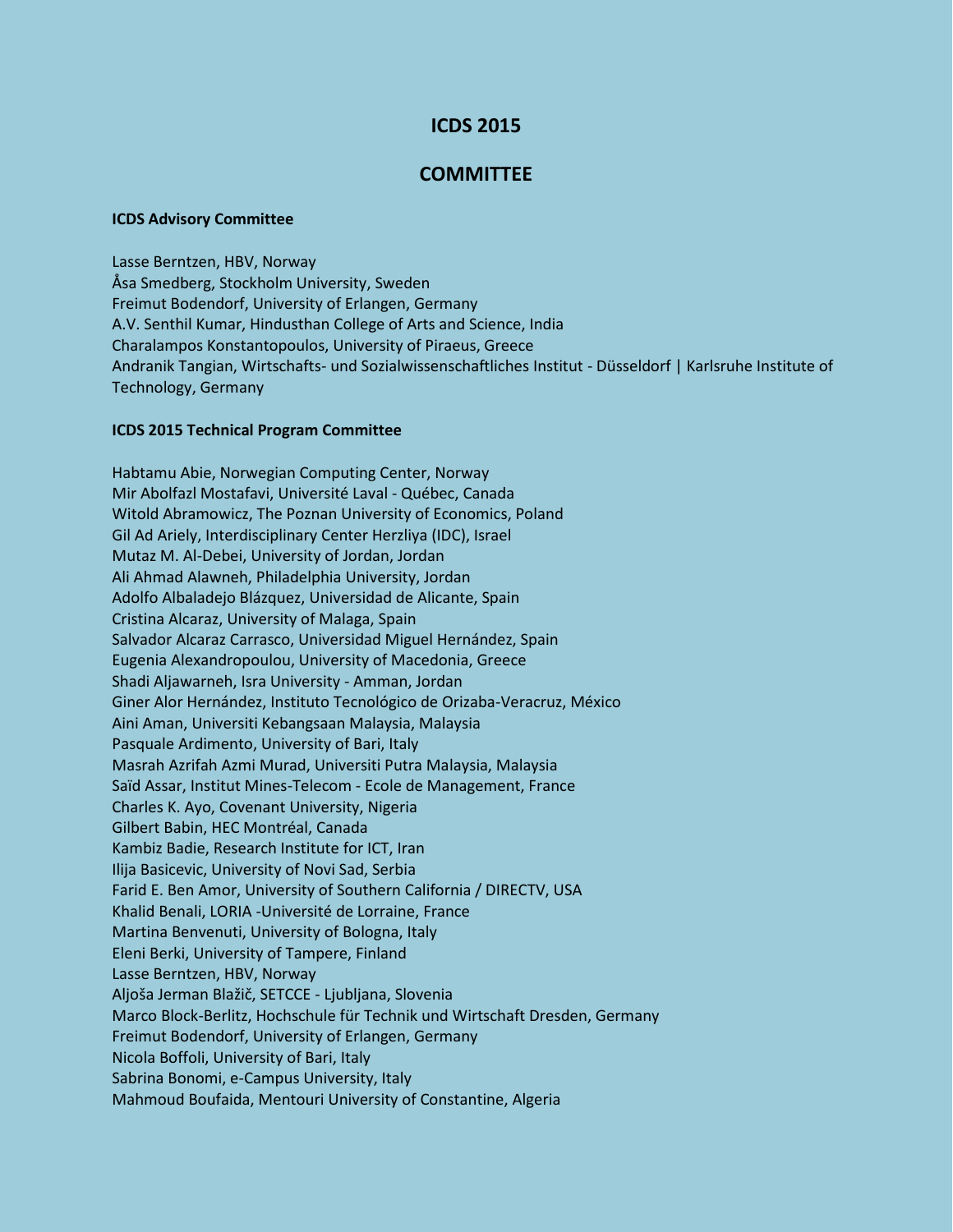## **ICDS 2015**

## **COMMITTEE**

## **ICDS Advisory Committee**

Lasse Berntzen, HBV, Norway Åsa Smedberg, Stockholm University, Sweden Freimut Bodendorf, University of Erlangen, Germany A.V. Senthil Kumar, Hindusthan College of Arts and Science, India Charalampos Konstantopoulos, University of Piraeus, Greece Andranik Tangian, Wirtschafts- und Sozialwissenschaftliches Institut - Düsseldorf | Karlsruhe Institute of Technology, Germany

## **ICDS 2015 Technical Program Committee**

Habtamu Abie, Norwegian Computing Center, Norway Mir Abolfazl Mostafavi, Université Laval - Québec, Canada Witold Abramowicz, The Poznan University of Economics, Poland Gil Ad Ariely, Interdisciplinary Center Herzliya (IDC), Israel Mutaz M. Al-Debei, University of Jordan, Jordan Ali Ahmad Alawneh, Philadelphia University, Jordan Adolfo Albaladejo Blázquez, Universidad de Alicante, Spain Cristina Alcaraz, University of Malaga, Spain Salvador Alcaraz Carrasco, Universidad Miguel Hernández, Spain Eugenia Alexandropoulou, University of Macedonia, Greece Shadi Aljawarneh, Isra University - Amman, Jordan Giner Alor Hernández, Instituto Tecnológico de Orizaba-Veracruz, México Aini Aman, Universiti Kebangsaan Malaysia, Malaysia Pasquale Ardimento, University of Bari, Italy Masrah Azrifah Azmi Murad, Universiti Putra Malaysia, Malaysia Saïd Assar, Institut Mines-Telecom - Ecole de Management, France Charles K. Ayo, Covenant University, Nigeria Gilbert Babin, HEC Montréal, Canada Kambiz Badie, Research Institute for ICT, Iran Ilija Basicevic, University of Novi Sad, Serbia Farid E. Ben Amor, University of Southern California / DIRECTV, USA Khalid Benali, LORIA -Université de Lorraine, France Martina Benvenuti, University of Bologna, Italy Eleni Berki, University of Tampere, Finland Lasse Berntzen, HBV, Norway Aljoša Jerman Blažič, SETCCE - Ljubljana, Slovenia Marco Block-Berlitz, Hochschule für Technik und Wirtschaft Dresden, Germany Freimut Bodendorf, University of Erlangen, Germany Nicola Boffoli, University of Bari, Italy Sabrina Bonomi, e-Campus University, Italy Mahmoud Boufaida, Mentouri University of Constantine, Algeria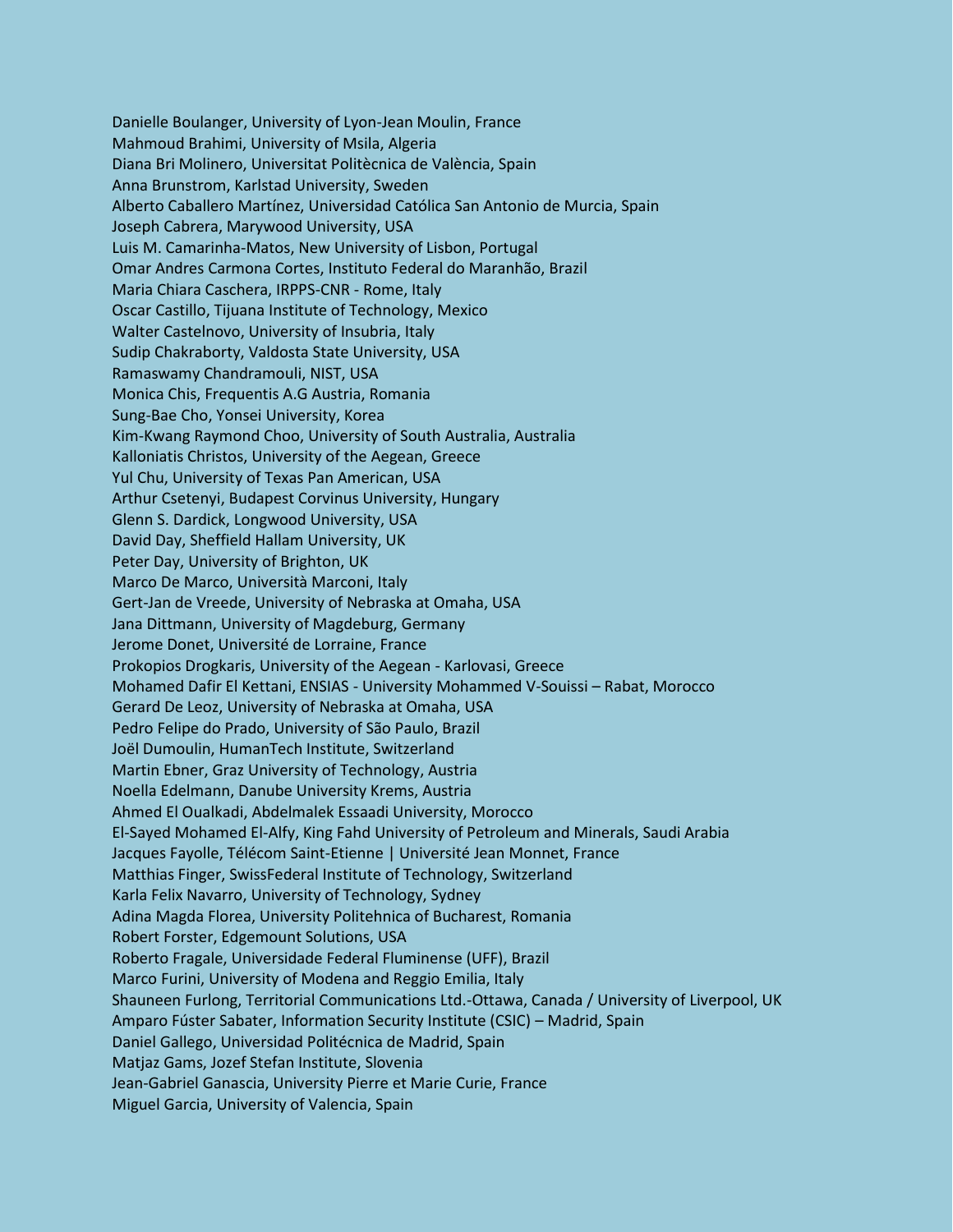Danielle Boulanger, University of Lyon-Jean Moulin, France Mahmoud Brahimi, University of Msila, Algeria Diana Bri Molinero, Universitat Politècnica de València, Spain Anna Brunstrom, Karlstad University, Sweden Alberto Caballero Martínez, Universidad Católica San Antonio de Murcia, Spain Joseph Cabrera, Marywood University, USA Luis M. Camarinha-Matos, New University of Lisbon, Portugal Omar Andres Carmona Cortes, Instituto Federal do Maranhão, Brazil Maria Chiara Caschera, IRPPS-CNR - Rome, Italy Oscar Castillo, Tijuana Institute of Technology, Mexico Walter Castelnovo, University of Insubria, Italy Sudip Chakraborty, Valdosta State University, USA Ramaswamy Chandramouli, NIST, USA Monica Chis, Frequentis A.G Austria, Romania Sung-Bae Cho, Yonsei University, Korea Kim-Kwang Raymond Choo, University of South Australia, Australia Kalloniatis Christos, University of the Aegean, Greece Yul Chu, University of Texas Pan American, USA Arthur Csetenyi, Budapest Corvinus University, Hungary Glenn S. Dardick, Longwood University, USA David Day, Sheffield Hallam University, UK Peter Day, University of Brighton, UK Marco De Marco, Università Marconi, Italy Gert-Jan de Vreede, University of Nebraska at Omaha, USA Jana Dittmann, University of Magdeburg, Germany Jerome Donet, Université de Lorraine, France Prokopios Drogkaris, University of the Aegean - Karlovasi, Greece Mohamed Dafir El Kettani, ENSIAS - University Mohammed V-Souissi – Rabat, Morocco Gerard De Leoz, University of Nebraska at Omaha, USA Pedro Felipe do Prado, University of São Paulo, Brazil Joël Dumoulin, HumanTech Institute, Switzerland Martin Ebner, Graz University of Technology, Austria Noella Edelmann, Danube University Krems, Austria Ahmed El Oualkadi, Abdelmalek Essaadi University, Morocco El-Sayed Mohamed El-Alfy, King Fahd University of Petroleum and Minerals, Saudi Arabia Jacques Fayolle, Télécom Saint-Etienne | Université Jean Monnet, France Matthias Finger, SwissFederal Institute of Technology, Switzerland Karla Felix Navarro, University of Technology, Sydney Adina Magda Florea, University Politehnica of Bucharest, Romania Robert Forster, Edgemount Solutions, USA Roberto Fragale, Universidade Federal Fluminense (UFF), Brazil Marco Furini, University of Modena and Reggio Emilia, Italy Shauneen Furlong, Territorial Communications Ltd.-Ottawa, Canada / University of Liverpool, UK Amparo Fúster Sabater, Information Security Institute (CSIC) – Madrid, Spain Daniel Gallego, Universidad Politécnica de Madrid, Spain Matjaz Gams, Jozef Stefan Institute, Slovenia Jean-Gabriel Ganascia, University Pierre et Marie Curie, France Miguel Garcia, University of Valencia, Spain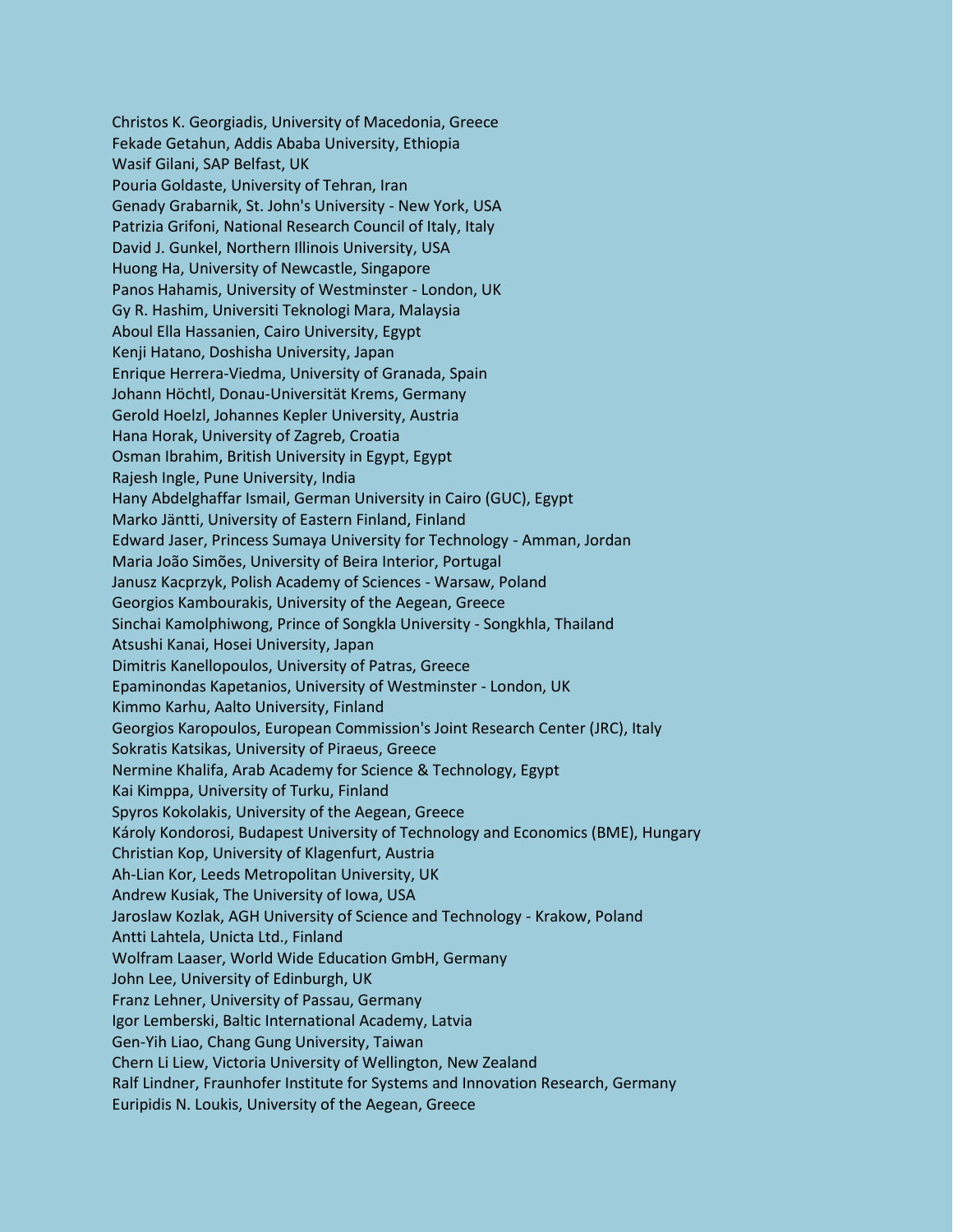Christos K. Georgiadis, University of Macedonia, Greece Fekade Getahun, Addis Ababa University, Ethiopia Wasif Gilani, SAP Belfast, UK Pouria Goldaste, University of Tehran, Iran Genady Grabarnik, St. John's University - New York, USA Patrizia Grifoni, National Research Council of Italy, Italy David J. Gunkel, Northern Illinois University, USA Huong Ha, University of Newcastle, Singapore Panos Hahamis, University of Westminster - London, UK Gy R. Hashim, Universiti Teknologi Mara, Malaysia Aboul Ella Hassanien, Cairo University, Egypt Kenji Hatano, Doshisha University, Japan Enrique Herrera-Viedma, University of Granada, Spain Johann Höchtl, Donau-Universität Krems, Germany Gerold Hoelzl, Johannes Kepler University, Austria Hana Horak, University of Zagreb, Croatia Osman Ibrahim, British University in Egypt, Egypt Rajesh Ingle, Pune University, India Hany Abdelghaffar Ismail, German University in Cairo (GUC), Egypt Marko Jäntti, University of Eastern Finland, Finland Edward Jaser, Princess Sumaya University for Technology - Amman, Jordan Maria João Simões, University of Beira Interior, Portugal Janusz Kacprzyk, Polish Academy of Sciences - Warsaw, Poland Georgios Kambourakis, University of the Aegean, Greece Sinchai Kamolphiwong, Prince of Songkla University - Songkhla, Thailand Atsushi Kanai, Hosei University, Japan Dimitris Kanellopoulos, University of Patras, Greece Epaminondas Kapetanios, University of Westminster - London, UK Kimmo Karhu, Aalto University, Finland Georgios Karopoulos, European Commission's Joint Research Center (JRC), Italy Sokratis Katsikas, University of Piraeus, Greece Nermine Khalifa, Arab Academy for Science & Technology, Egypt Kai Kimppa, University of Turku, Finland Spyros Kokolakis, University of the Aegean, Greece Károly Kondorosi, Budapest University of Technology and Economics (BME), Hungary Christian Kop, University of Klagenfurt, Austria Ah-Lian Kor, Leeds Metropolitan University, UK Andrew Kusiak, The University of Iowa, USA Jaroslaw Kozlak, AGH University of Science and Technology - Krakow, Poland Antti Lahtela, Unicta Ltd., Finland Wolfram Laaser, World Wide Education GmbH, Germany John Lee, University of Edinburgh, UK Franz Lehner, University of Passau, Germany Igor Lemberski, Baltic International Academy, Latvia Gen-Yih Liao, Chang Gung University, Taiwan Chern Li Liew, Victoria University of Wellington, New Zealand Ralf Lindner, Fraunhofer Institute for Systems and Innovation Research, Germany Euripidis N. Loukis, University of the Aegean, Greece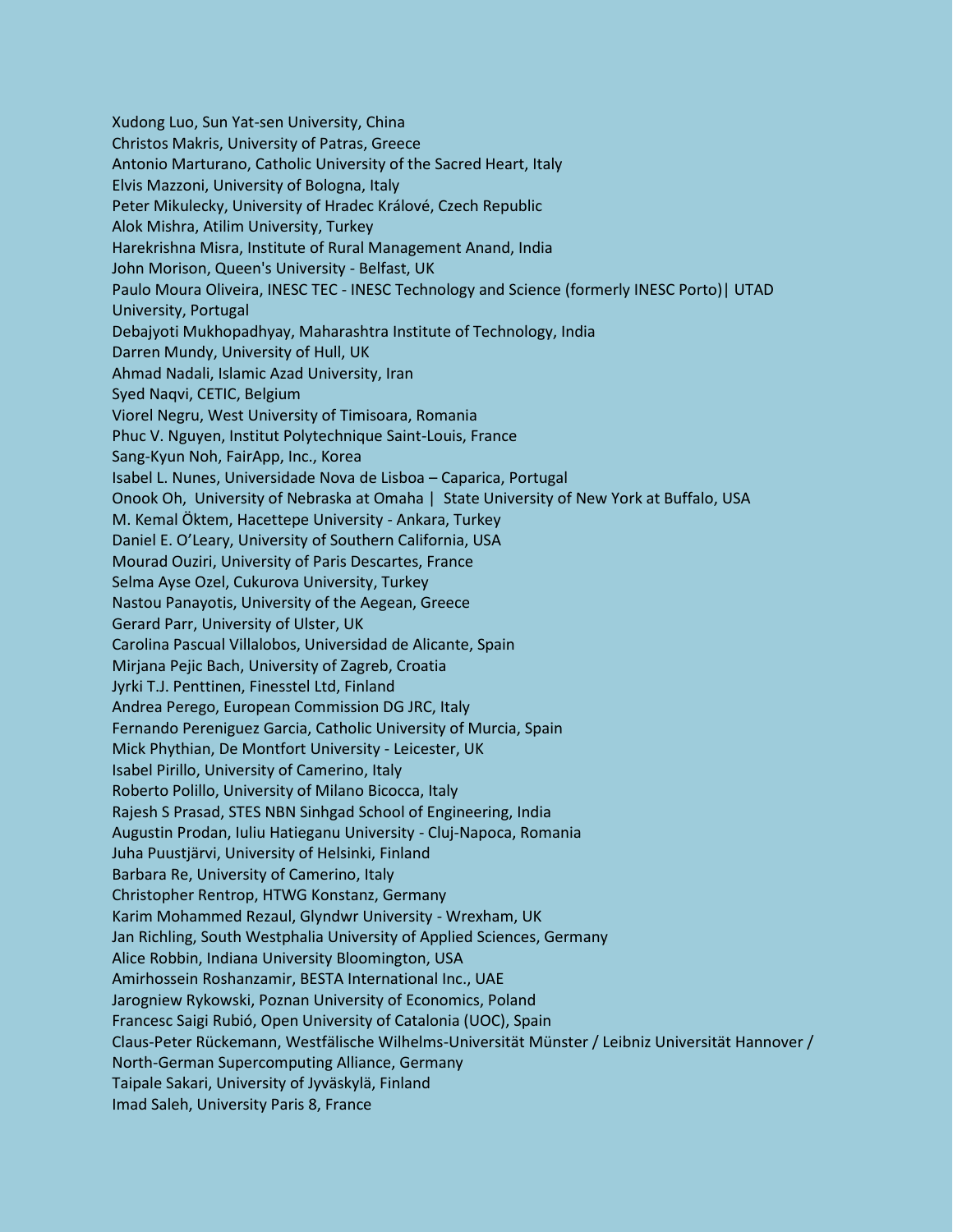Xudong Luo, Sun Yat-sen University, China Christos Makris, University of Patras, Greece Antonio Marturano, Catholic University of the Sacred Heart, Italy Elvis Mazzoni, University of Bologna, Italy Peter Mikulecky, University of Hradec Králové, Czech Republic Alok Mishra, Atilim University, Turkey Harekrishna Misra, Institute of Rural Management Anand, India John Morison, Queen's University - Belfast, UK Paulo Moura Oliveira, INESC TEC - INESC Technology and Science (formerly INESC Porto)| UTAD University, Portugal Debajyoti Mukhopadhyay, Maharashtra Institute of Technology, India Darren Mundy, University of Hull, UK Ahmad Nadali, Islamic Azad University, Iran Syed Naqvi, CETIC, Belgium Viorel Negru, West University of Timisoara, Romania Phuc V. Nguyen, Institut Polytechnique Saint-Louis, France Sang-Kyun Noh, FairApp, Inc., Korea Isabel L. Nunes, Universidade Nova de Lisboa – Caparica, Portugal Onook Oh, University of Nebraska at Omaha | State University of New York at Buffalo, USA M. Kemal Öktem, Hacettepe University - Ankara, Turkey Daniel E. O'Leary, University of Southern California, USA Mourad Ouziri, University of Paris Descartes, France Selma Ayse Ozel, Cukurova University, Turkey Nastou Panayotis, University of the Aegean, Greece Gerard Parr, University of Ulster, UK Carolina Pascual Villalobos, Universidad de Alicante, Spain Mirjana Pejic Bach, University of Zagreb, Croatia Jyrki T.J. Penttinen, Finesstel Ltd, Finland Andrea Perego, European Commission DG JRC, Italy Fernando Pereniguez Garcia, Catholic University of Murcia, Spain Mick Phythian, De Montfort University - Leicester, UK Isabel Pirillo, University of Camerino, Italy Roberto Polillo, University of Milano Bicocca, Italy Rajesh S Prasad, STES NBN Sinhgad School of Engineering, India Augustin Prodan, Iuliu Hatieganu University - Cluj-Napoca, Romania Juha Puustjärvi, University of Helsinki, Finland Barbara Re, University of Camerino, Italy Christopher Rentrop, HTWG Konstanz, Germany Karim Mohammed Rezaul, Glyndwr University - Wrexham, UK Jan Richling, South Westphalia University of Applied Sciences, Germany Alice Robbin, Indiana University Bloomington, USA Amirhossein Roshanzamir, BESTA International Inc., UAE Jarogniew Rykowski, Poznan University of Economics, Poland Francesc Saigi Rubió, Open University of Catalonia (UOC), Spain Claus-Peter Rückemann, Westfälische Wilhelms-Universität Münster / Leibniz Universität Hannover / North-German Supercomputing Alliance, Germany Taipale Sakari, University of Jyväskylä, Finland Imad Saleh, University Paris 8, France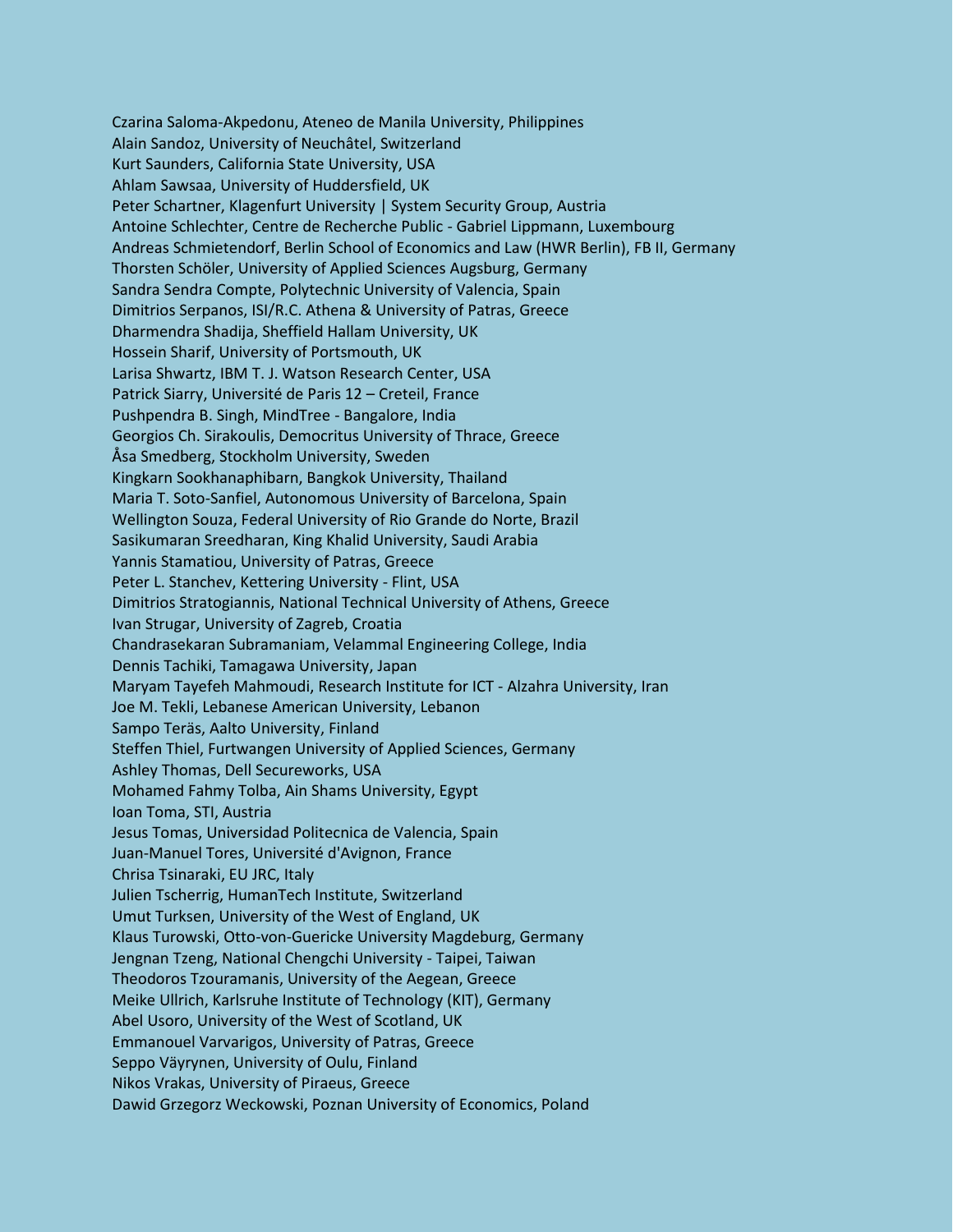Czarina Saloma-Akpedonu, Ateneo de Manila University, Philippines Alain Sandoz, University of Neuchâtel, Switzerland Kurt Saunders, California State University, USA Ahlam Sawsaa, University of Huddersfield, UK Peter Schartner, Klagenfurt University | System Security Group, Austria Antoine Schlechter, Centre de Recherche Public - Gabriel Lippmann, Luxembourg Andreas Schmietendorf, Berlin School of Economics and Law (HWR Berlin), FB II, Germany Thorsten Schöler, University of Applied Sciences Augsburg, Germany Sandra Sendra Compte, Polytechnic University of Valencia, Spain Dimitrios Serpanos, ISI/R.C. Athena & University of Patras, Greece Dharmendra Shadija, Sheffield Hallam University, UK Hossein Sharif, University of Portsmouth, UK Larisa Shwartz, IBM T. J. Watson Research Center, USA Patrick Siarry, Université de Paris 12 – Creteil, France Pushpendra B. Singh, MindTree - Bangalore, India Georgios Ch. Sirakoulis, Democritus University of Thrace, Greece Åsa Smedberg, Stockholm University, Sweden Kingkarn Sookhanaphibarn, Bangkok University, Thailand Maria T. Soto-Sanfiel, Autonomous University of Barcelona, Spain Wellington Souza, Federal University of Rio Grande do Norte, Brazil Sasikumaran Sreedharan, King Khalid University, Saudi Arabia Yannis Stamatiou, University of Patras, Greece Peter L. Stanchev, Kettering University - Flint, USA Dimitrios Stratogiannis, National Technical University of Athens, Greece Ivan Strugar, University of Zagreb, Croatia Chandrasekaran Subramaniam, Velammal Engineering College, India Dennis Tachiki, Tamagawa University, Japan Maryam Tayefeh Mahmoudi, Research Institute for ICT - Alzahra University, Iran Joe M. Tekli, Lebanese American University, Lebanon Sampo Teräs, Aalto University, Finland Steffen Thiel, Furtwangen University of Applied Sciences, Germany Ashley Thomas, Dell Secureworks, USA Mohamed Fahmy Tolba, Ain Shams University, Egypt Ioan Toma, STI, Austria Jesus Tomas, Universidad Politecnica de Valencia, Spain Juan-Manuel Tores, Université d'Avignon, France Chrisa Tsinaraki, EU JRC, Italy Julien Tscherrig, HumanTech Institute, Switzerland Umut Turksen, University of the West of England, UK Klaus Turowski, Otto-von-Guericke University Magdeburg, Germany Jengnan Tzeng, National Chengchi University - Taipei, Taiwan Theodoros Tzouramanis, University of the Aegean, Greece Meike Ullrich, Karlsruhe Institute of Technology (KIT), Germany Abel Usoro, University of the West of Scotland, UK Emmanouel Varvarigos, University of Patras, Greece Seppo Väyrynen, University of Oulu, Finland Nikos Vrakas, University of Piraeus, Greece Dawid Grzegorz Weckowski, Poznan University of Economics, Poland